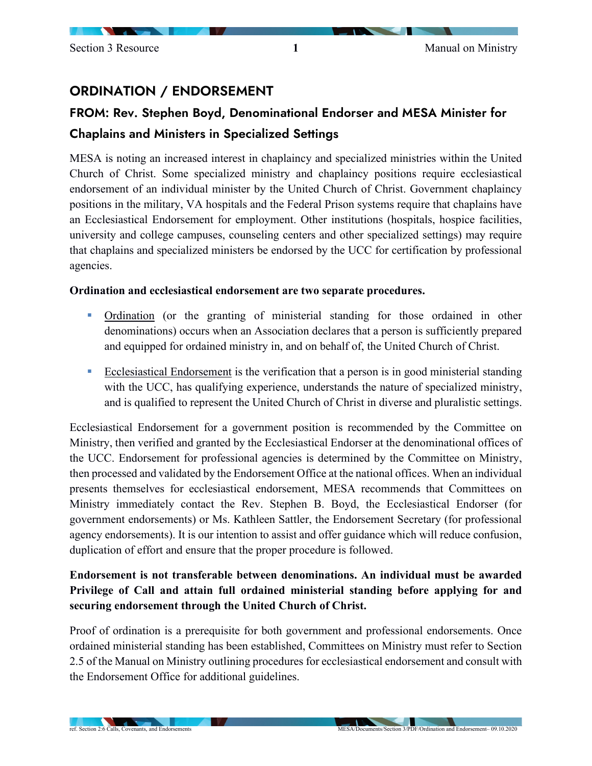## ORDINATION / ENDORSEMENT

# FROM: Rev. Stephen Boyd, Denominational Endorser and MESA Minister for Chaplains and Ministers in Specialized Settings

MESA is noting an increased interest in chaplaincy and specialized ministries within the United Church of Christ. Some specialized ministry and chaplaincy positions require ecclesiastical endorsement of an individual minister by the United Church of Christ. Government chaplaincy positions in the military, VA hospitals and the Federal Prison systems require that chaplains have an Ecclesiastical Endorsement for employment. Other institutions (hospitals, hospice facilities, university and college campuses, counseling centers and other specialized settings) may require that chaplains and specialized ministers be endorsed by the UCC for certification by professional agencies.

#### **Ordination and ecclesiastical endorsement are two separate procedures.**

- **•** Ordination (or the granting of ministerial standing for those ordained in other denominations) occurs when an Association declares that a person is sufficiently prepared and equipped for ordained ministry in, and on behalf of, the United Church of Christ.
- Ecclesiastical Endorsement is the verification that a person is in good ministerial standing with the UCC, has qualifying experience, understands the nature of specialized ministry, and is qualified to represent the United Church of Christ in diverse and pluralistic settings.

Ecclesiastical Endorsement for a government position is recommended by the Committee on Ministry, then verified and granted by the Ecclesiastical Endorser at the denominational offices of the UCC. Endorsement for professional agencies is determined by the Committee on Ministry, then processed and validated by the Endorsement Office at the national offices. When an individual presents themselves for ecclesiastical endorsement, MESA recommends that Committees on Ministry immediately contact the Rev. Stephen B. Boyd, the Ecclesiastical Endorser (for government endorsements) or Ms. Kathleen Sattler, the Endorsement Secretary (for professional agency endorsements). It is our intention to assist and offer guidance which will reduce confusion, duplication of effort and ensure that the proper procedure is followed.

### **Endorsement is not transferable between denominations. An individual must be awarded Privilege of Call and attain full ordained ministerial standing before applying for and securing endorsement through the United Church of Christ.**

Proof of ordination is a prerequisite for both government and professional endorsements. Once ordained ministerial standing has been established, Committees on Ministry must refer to Section 2.5 of the Manual on Ministry outlining procedures for ecclesiastical endorsement and consult with the Endorsement Office for additional guidelines.